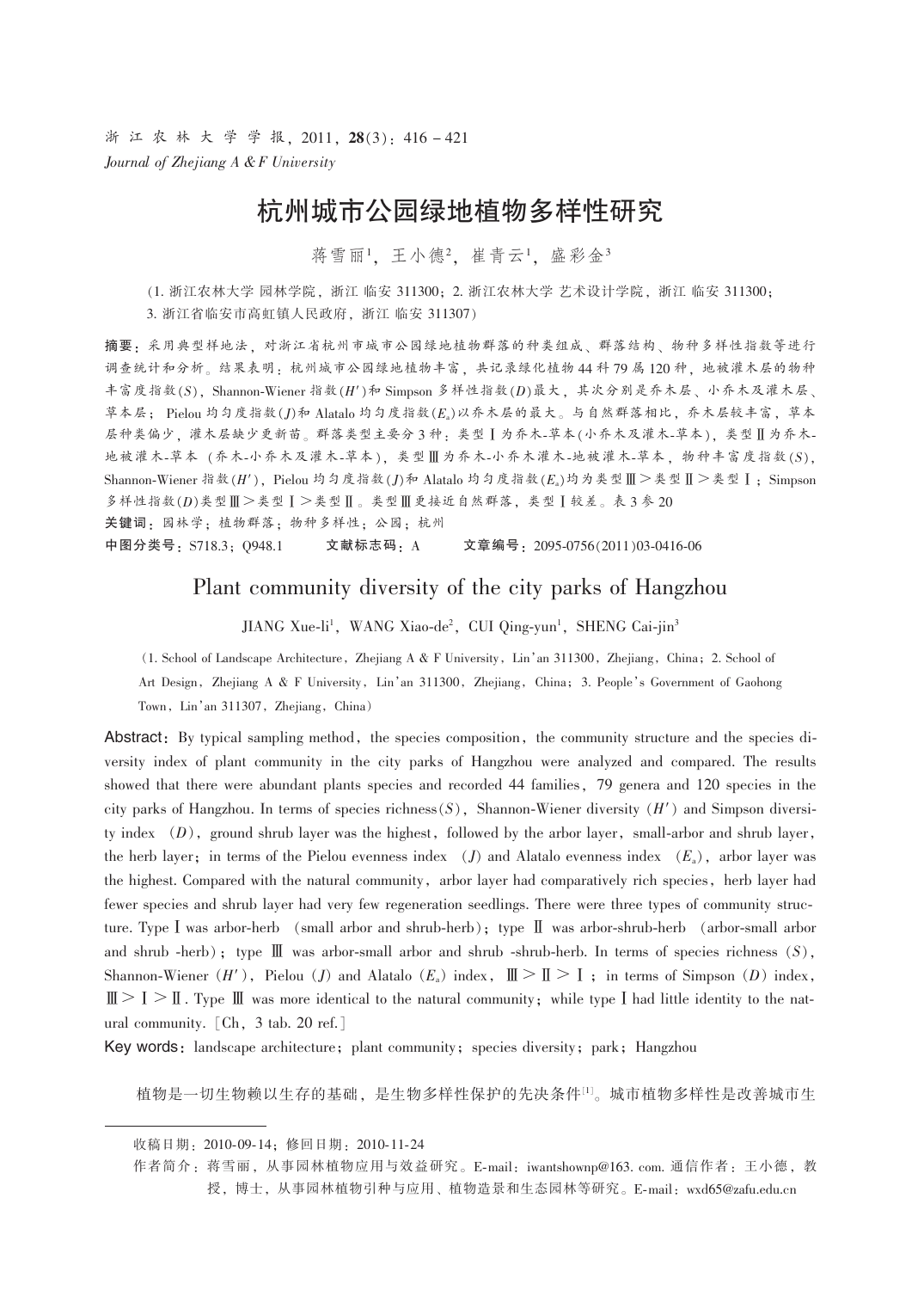浙江农林大学学报, 2011, 28(3): 416-421 Journal of Zhejiang A & F University

# 杭州城市公园绿地植物多样性研究

蒋雪丽1. 王小德2. 崔青云1. 盛彩金3

(1. 浙江农林大学 园林学院, 浙江 临安 311300; 2. 浙江农林大学 艺术设计学院, 浙江 临安 311300; 3. 浙江省临安市高虹镇人民政府, 浙江临安 311307)

摘要,采用典型样地法,对浙江省杭州市城市公园绿地植物群落的种类组成、群落结构、物种多样性指数等进行 调查统计和分析。结果表明:杭州城市公园绿地植物丰富,共记录绿化植物44科79属120种,地被灌木层的物种 丰富度指数(S), Shannon-Wiener 指数(H')和 Simpson 多样性指数(D)最大, 其次分别是乔木层、小乔木及灌木层、 草本层: Pielou 均匀度指数(I)和 Alatalo 均匀度指数(E)以乔木层的最大。与自然群落相比,乔木层较丰富, 草本 层种类偏少,灌木层缺少更新苗。群落类型主要分3种:类型Ⅰ为乔木-草本(小乔木及灌木-草本), 类型Ⅱ为乔木-地被灌木-草本(乔木-小乔木及灌木-草本), 类型Ⅲ为乔木-小乔木灌木-地被灌木-草本, 物种丰富度指数(S), Shannon-Wiener 指数(H'), Pielou 均匀度指数(J)和 Alatalo 均匀度指数(E) 均为类型Ⅲ>类型Ⅱ>类型Ⅰ; Simpson 多样性指数(D)类型Ⅲ>类型Ⅰ>类型Ⅱ。类型Ⅲ更接近自然群落,类型Ⅰ较差。表3参20 关键词: 园林学; 植物群落; 物种多样性; 公园; 杭州 中图分类号: S718.3; Q948.1 文献标志码: A 文章编号: 2095-0756(2011)03-0416-06

# Plant community diversity of the city parks of Hangzhou

JIANG Xue-li<sup>1</sup>, WANG Xiao-de<sup>2</sup>, CUI Qing-yun<sup>1</sup>, SHENG Cai-jin<sup>3</sup>

(1. School of Landscape Architecture, Zhejiang A & F University, Lin'an 311300, Zhejiang, China; 2. School of Art Design, Zhejiang A & F University, Lin'an 311300, Zhejiang, China; 3. People's Government of Gaohong Town, Lin'an 311307, Zhejiang, China)

Abstract: By typical sampling method, the species composition, the community structure and the species diversity index of plant community in the city parks of Hangzhou were analyzed and compared. The results showed that there were abundant plants species and recorded 44 families, 79 genera and 120 species in the city parks of Hangzhou. In terms of species richness  $(S)$ , Shannon-Wiener diversity  $(H')$  and Simpson diversity index  $(D)$ , ground shrub layer was the highest, followed by the arbor layer, small-arbor and shrub layer, the herb layer; in terms of the Pielou evenness index (J) and Alatalo evenness index  $(E_a)$ , arbor layer was the highest. Compared with the natural community, arbor layer had comparatively rich species, herb layer had fewer species and shrub layer had very few regeneration seedlings. There were three types of community structure. Type I was arbor-herb (small arbor and shrub-herb); type II was arbor-shrub-herb (arbor-small arbor and shrub -herb); type  $\mathbb{I}$  was arbor-small arbor and shrub -shrub-herb. In terms of species richness  $(S)$ , Shannon-Wiener  $(H')$ , Pielou (J) and Alatalo  $(E_a)$  index,  $\mathbb{I} \geq \mathbb{I} \geq I$ ; in terms of Simpson (D) index,  $\mathbb{II} > \mathbb{I} > \mathbb{I}$ . Type  $\mathbb{II}$  was more identical to the natural community; while type I had little identity to the natural ural community. [Ch, 3 tab. 20 ref.]

Key words: landscape architecture; plant community; species diversity; park; Hangzhou

植物是一切生物赖以生存的基础,是生物多样性保护的先决条件[1]。城市植物多样性是改善城市生

收稿日期: 2010-09-14; 修回日期: 2010-11-24

作者简介: 蒋雪丽, 从事园林植物应用与效益研究。E-mail: iwantshownp@163. com. 通信作者: 王小德, 教 授,博士,从事园林植物引种与应用、植物造景和生态园林等研究。E-mail: wxd65@zafu.edu.cn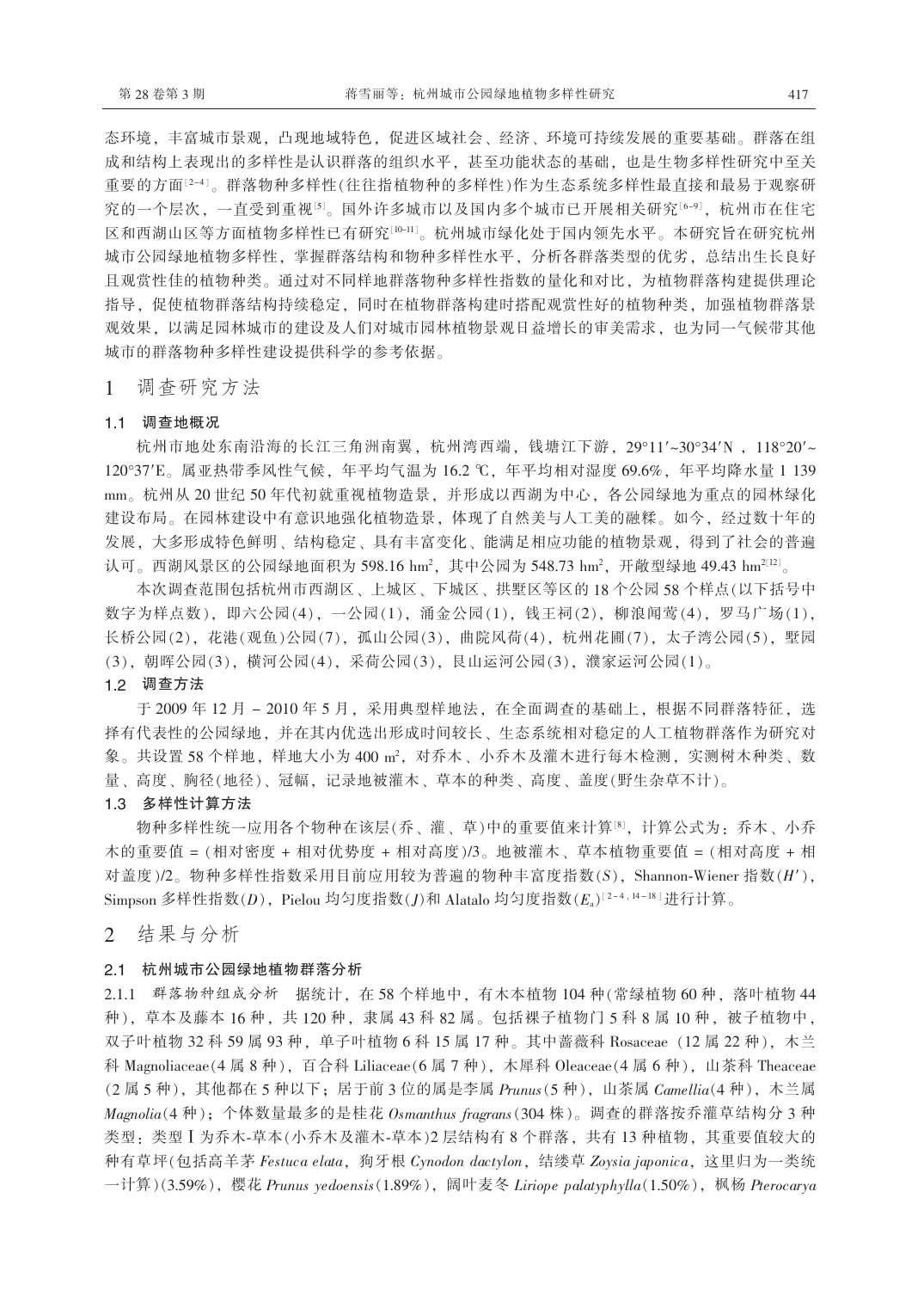态环境,丰富城市景观,凸现地域特色,促进区域社会、经济、环境可持续发展的重要基础。群落在组 成和结构上表现出的多样性是认识群落的组织水平, 甚至功能状态的基础, 也是生物多样性研究中至关 重要的方面[2-4]。群落物种多样性(往往指植物种的多样性)作为生态系统多样性最直接和最易于观察研 究的一个层次,一直受到重视[5]。国外许多城市以及国内多个城市已开展相关研究[6-9],杭州市在住宅 区和西湖山区等方面植物多样性已有研究[10-11]。杭州城市绿化处于国内领先水平。本研究旨在研究杭州 城市公园绿地植物多样性, 掌握群落结构和物种多样性水平, 分析各群落类型的优劣, 总结出生长良好 且观赏性佳的植物种类。通过对不同样地群落物种多样性指数的量化和对比,为植物群落构建提供理论 指导,促使植物群落结构持续稳定,同时在植物群落构建时搭配观赏性好的植物种类,加强植物群落景 观效果, 以满足园林城市的建设及人们对城市园林植物景观日益增长的审美需求, 也为同一气候带其他 城市的群落物种多样性建设提供科学的参考依据。

调查研究方法  $\mathbf{1}$ 

#### 1.1 调查地概况

杭州市地处东南沿海的长江三角洲南翼,杭州湾西端,钱塘江下游, 29°11'~30°34'N, 118°20'~ 120°37'E。属亚热带季风性气候,年平均气温为16.2 ℃,年平均相对湿度69.6%,年平均降水量1139 mm。杭州从20世纪50年代初就重视植物造景,并形成以西湖为中心,各公园绿地为重点的园林绿化 建设布局。在园林建设中有意识地强化植物造景,体现了自然美与人工美的融糅。如今,经过数十年的 发展,大多形成特色鲜明、结构稳定、具有丰富变化、能满足相应功能的植物景观,得到了社会的普遍 认可。西湖风景区的公园绿地面积为 598.16 hm<sup>2</sup>, 其中公园为 548.73 hm<sup>2</sup>, 开敞型绿地 49.43 hm<sup>2[12]</sup>。

本次调查范围包括杭州市西湖区、上城区、下城区、拱墅区等区的18个公园58个样点(以下括号中 数字为样点数), 即六公园(4), 一公园(1), 涌金公园(1), 钱王祠(2), 柳浪闻莺(4), 罗马广场(1), 长桥公园(2), 花港(观鱼)公园(7), 孤山公园(3), 曲院风荷(4), 杭州花圃(7), 太子湾公园(5), 墅园 (3). 朝晖公园(3). 横河公园(4). 采荷公园(3). 艮山运河公园(3). 濮家运河公园(1)。

1.2 调查方法

于 2009 年 12 月 - 2010 年 5 月, 采用典型样地法, 在全面调查的基础上, 根据不同群落特征, 选 择有代表性的公园绿地,并在其内优选出形成时间较长、生态系统相对稳定的人工植物群落作为研究对 象。共设置 58 个样地, 样地大小为 400 m2, 对乔木、小乔木及灌木进行每木检测, 实测树木种类、数 量、高度、胸径(地径)、冠幅,记录地被灌木、草本的种类、高度、盖度(野生杂草不计)。

## 1.3 多样性计算方法

物种多样性统一应用各个物种在该层(乔、灌、草)中的重要值来计算。对, 计算公式为: 乔木、小乔 木的重要值 = (相对密度 + 相对优势度 + 相对高度)/3。地被灌木、草本植物重要值 = (相对高度 + 相 对盖度)/2。物种多样性指数采用目前应用较为普遍的物种丰富度指数(S), Shannon-Wiener 指数(H'), Simpson 多样性指数(D), Pielou 均匀度指数(J)和 Alatalo 均匀度指数 $(E_a)^{[2-4,14-18]}$ 进行计算。

结果与分析 2

#### 2.1 杭州城市公园绿地植物群落分析

2.1.1 群落物种组成分析 据统计, 在58个样地中, 有木本植物 104 种(常绿植物 60 种, 落叶植物 44 种), 草本及藤本 16 种, 共 120 种, 隶属 43 科 82 属。包括裸子植物门 5 科 8 属 10 种, 被子植物中, 双子叶植物 32 科 59 属 93 种, 单子叶植物 6 科 15 属 17 种。其中蔷薇科 Rosaceae (12 属 22 种), 木兰 科 Magnoliaceae(4 属 8 种),百合科 Liliaceae(6 属 7 种),木犀科 Oleaceae(4 属 6 种),山荼科 Theaceae  $(2 \overline{A} 5 \overline{A})$ , 其他都在5种以下; 居于前3位的属是李属 Prunus(5种), 山茶属 Camellia(4种), 木兰属 Magnolia(4 种); 个体数量最多的是桂花 Osmanthus fragrans (304 株)。调查的群落按乔灌草结构分 3 种 类型: 类型 I 为乔木-草本(小乔木及灌木-草本)2 层结构有 8 个群落, 共有 13 种植物, 其重要值较大的 种有草坪(包括高羊茅 Festuca elata, 狗牙根 Cynodon dactylon, 结缕草 Zoysia japonica, 这里归为一类统 一计算)(3.59%), 樱花 Prunus yedoensis(1.89%), 阔叶麦冬 Liriope palatyphylla(1.50%), 枫杨 Pterocarya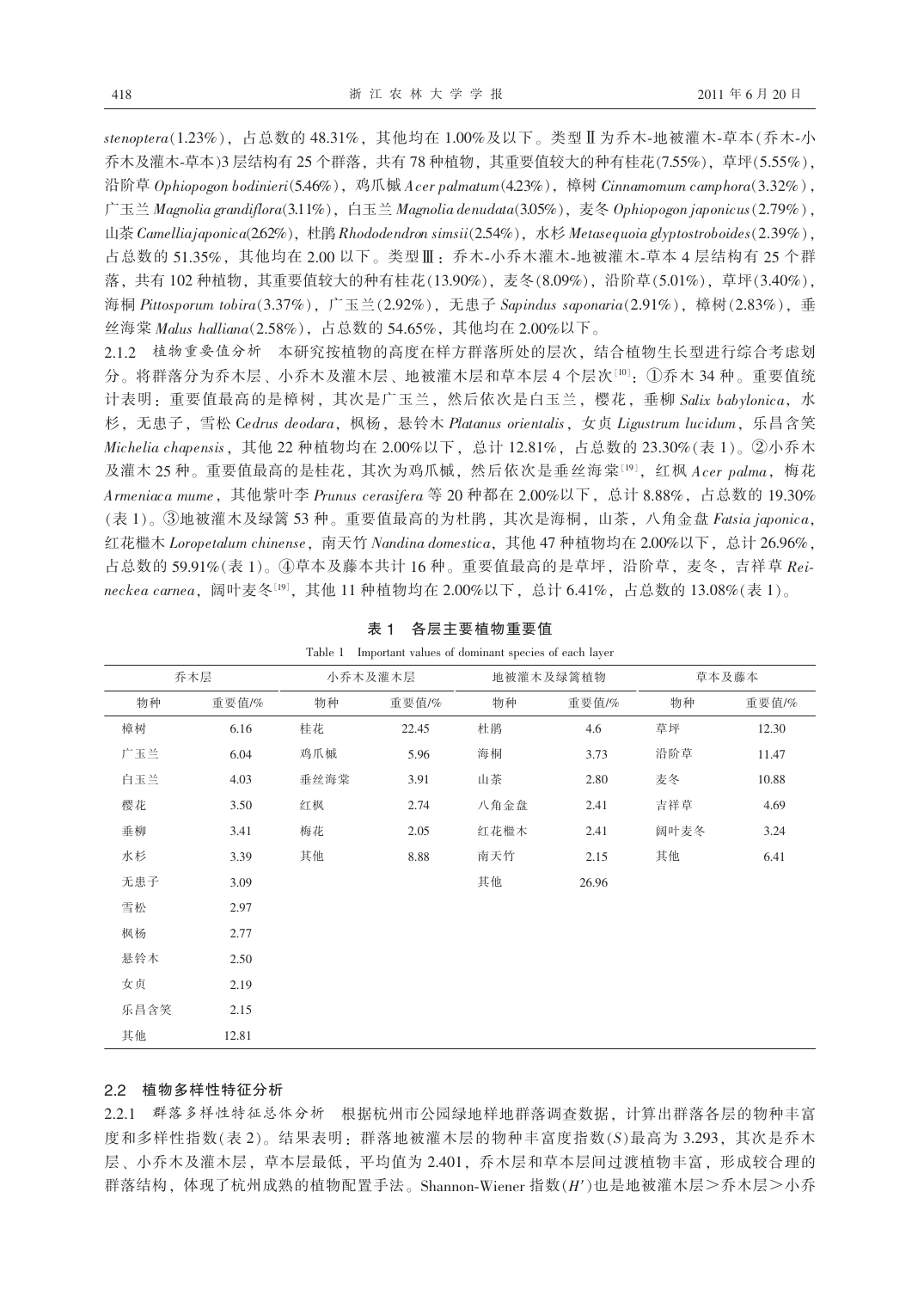stenoptera(1.23%), 占总数的 48.31%, 其他均在 1.00%及以下。类型 II 为乔木-地被灌木-草本(乔木-小 乔木及灌木-草本)3层结构有25个群落,共有78种植物,其重要值较大的种有桂花(7.55%),草坪(5.55%), 沿阶草 Ophiopogon bodinieri(5.46%), 鸡爪槭 Acer palmatum(4.23%), 樟树 Cinnamomum camphora(3.32%), 广玉兰 Magnolia grandiflora(3.11%), 白玉兰 Magnolia denudata(3.05%), 麦冬 Ophiopogon japonicus(2.79%), 山茶 Camelliajaponica(2.62%), 杜鹃 Rhododendron simsii(2.54%), 水杉 Metasequoia glyptostroboides(2.39%), 占总数的 51.35%, 其他均在 2.00 以下。类型Ⅲ: 乔木-小乔木灌木-地被灌木-草本 4 层结构有 25 个群 落, 共有102 种植物, 其重要值较大的种有桂花(13.90%), 麦冬(8.09%), 沿阶草(5.01%), 草坪(3.40%), 海桐 Pittosporum tobira(3.37%), 广玉兰(2.92%), 无患子 Sapindus saponaria(2.91%), 樟树(2.83%), 垂 丝海棠 Malus halliana(2.58%), 占总数的 54.65%, 其他均在 2.00%以下。

2.1.2 植物重要值分析 本研究按植物的高度在样方群落所处的层次,结合植物生长型进行综合考虑划 分。将群落分为乔木层、小乔木及灌木层、地被灌木层和草本层 4 个层次[10]: ①乔木 34 种。重要值统 计表明: 重要值最高的是樟树, 其次是广玉兰, 然后依次是白玉兰, 樱花, 垂柳 Salix babylonica, 水 杉, 无患子, 雪松 Cedrus deodara, 枫杨, 悬铃木 Platanus orientalis, 女贞 Ligustrum lucidum, 乐昌含笑 Michelia chapensis, 其他 22 种植物均在 2.00%以下, 总计 12.81%, 占总数的 23.30%(表 1)。②小乔木 及灌木 25 种。重要值最高的是桂花, 其次为鸡爪槭, 然后依次是垂丝海棠[19], 红枫 Acer palma, 梅花 Armeniaca mume, 其他紫叶李 Prunus cerasifera 等 20 种都在 2.00%以下, 总计 8.88%, 占总数的 19.30% (表1)。③地被灌木及绿篱 53 种。重要值最高的为杜鹃, 其次是海桐, 山茶, 八角金盘 Fatsia japonica, 红花檵木 Loropetalum chinense, 南天竹 Nandina domestica, 其他 47 种植物均在 2.00%以下, 总计 26.96%, 占总数的 59.91%(表1)。4草本及藤本共计16种。重要值最高的是草坪, 沿阶草, 麦冬, 吉祥草 Reineckea carnea, 阔叶麦冬<sup>[19]</sup>, 其他 11 种植物均在 2.00%以下, 总计 6.41%, 占总数的 13.08%(表 1)。

| $1 \, \mathrm{d} \, \mathrm{d} \, \mathrm{d} \, \mathrm{d}$<br>- Important values of dominant species of each layer |       |         |       |           |       |       |       |  |  |
|---------------------------------------------------------------------------------------------------------------------|-------|---------|-------|-----------|-------|-------|-------|--|--|
| 乔木层                                                                                                                 |       | 小乔木及灌木层 |       | 地被灌木及绿篱植物 |       | 草本及藤本 |       |  |  |
| 物种                                                                                                                  | 重要值/% | 物种      | 重要值/% | 物种        | 重要值/% | 物种    | 重要值/% |  |  |
| 樟树                                                                                                                  | 6.16  | 桂花      | 22.45 | 杜鹃        | 4.6   | 草坪    | 12.30 |  |  |
| 广玉兰                                                                                                                 | 6.04  | 鸡爪槭     | 5.96  | 海桐        | 3.73  | 沿阶草   | 11.47 |  |  |
| 白玉兰                                                                                                                 | 4.03  | 垂丝海棠    | 3.91  | 山茶        | 2.80  | 麦冬    | 10.88 |  |  |
| 樱花                                                                                                                  | 3.50  | 红枫      | 2.74  | 八角金盘      | 2.41  | 吉祥草   | 4.69  |  |  |
| 垂柳                                                                                                                  | 3.41  | 梅花      | 2.05  | 红花檵木      | 2.41  | 阔叶麦冬  | 3.24  |  |  |
| 水杉                                                                                                                  | 3.39  | 其他      | 8.88  | 南天竹       | 2.15  | 其他    | 6.41  |  |  |
| 无患子                                                                                                                 | 3.09  |         |       | 其他        | 26.96 |       |       |  |  |
| 雪松                                                                                                                  | 2.97  |         |       |           |       |       |       |  |  |
| 枫杨                                                                                                                  | 2.77  |         |       |           |       |       |       |  |  |
| 悬铃木                                                                                                                 | 2.50  |         |       |           |       |       |       |  |  |
| 女贞                                                                                                                  | 2.19  |         |       |           |       |       |       |  |  |
| 乐昌含笑                                                                                                                | 2.15  |         |       |           |       |       |       |  |  |
| 其他                                                                                                                  | 12.81 |         |       |           |       |       |       |  |  |

表 1 各层主要植物重要值 Toble 1 Important values of dominant species of each lave

### 2.2 植物多样性特征分析

2.2.1 群落多样性特征总体分析 根据杭州市公园绿地样地群落调查数据, 计算出群落各层的物种丰富 度和多样性指数(表2)。结果表明: 群落地被灌木层的物种丰富度指数(S)最高为3.293, 其次是乔木 层、小乔木及灌木层, 草本层最低, 平均值为 2.401, 乔木层和草本层间过渡植物丰富, 形成较合理的 群落结构, 体现了杭州成熟的植物配置手法。Shannon-Wiener 指数(H')也是地被灌木层>乔木层>小乔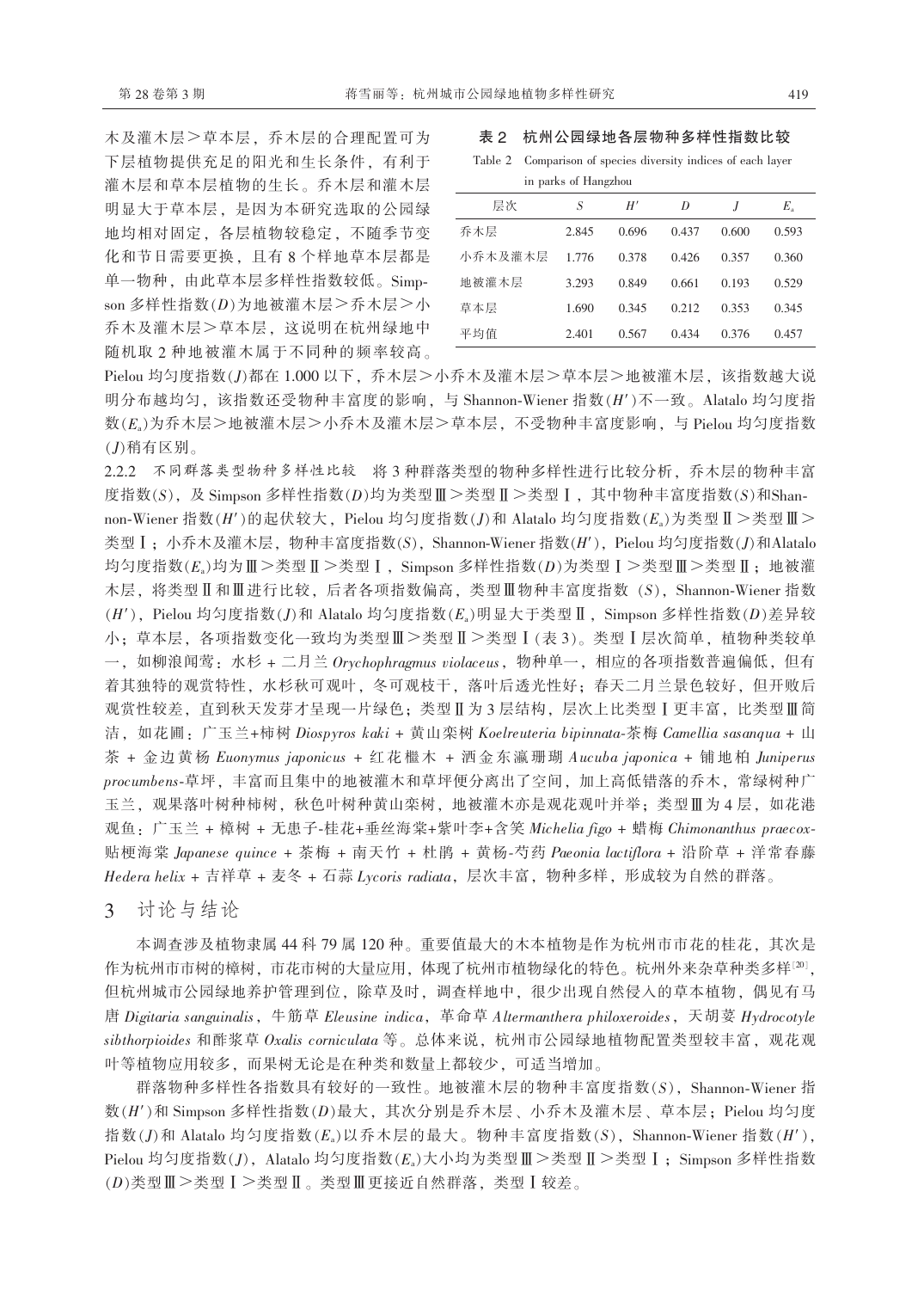木及灌木层>草本层, 乔木层的合理配置可为 下层植物提供充足的阳光和生长条件,有利于 灌木层和草本层植物的生长。乔木层和灌木层 明显大于草本层, 是因为本研究选取的公园绿 地均相对固定, 各层植物较稳定, 不随季节变 化和节日需要更换,且有8个样地草本层都是 单一物种, 由此草本层多样性指数较低。Simpson 多样性指数(D)为地被灌木层>乔木层>小 乔木及灌木层>草本层, 这说明在杭州绿地中 随机取2种地被灌木属于不同种的频率较高。

#### 表 2 杭州公园绿地各层物种多样性指数比较

Table 2 Comparison of species diversity indices of each layer in parks of Hangzhou

| 层次      | S     | H'    | D     | $\overline{I}$ | $E_{\rm a}$ |
|---------|-------|-------|-------|----------------|-------------|
| 乔木层     | 2.845 | 0.696 | 0.437 | 0.600          | 0.593       |
| 小乔木及灌木层 | 1.776 | 0.378 | 0.426 | 0.357          | 0.360       |
| 地被灌木层   | 3.293 | 0.849 | 0.661 | 0.193          | 0.529       |
| 草本层     | 1.690 | 0.345 | 0.212 | 0.353          | 0.345       |
| 平均值     | 2.401 | 0.567 | 0.434 | 0.376          | 0.457       |

Pielou 均匀度指数(J)都在 1.000 以下, 乔木层>小乔木及灌木层>草本层>地被灌木层, 该指数越大说 明分布越均匀,该指数还受物种丰富度的影响,与 Shannon-Wiener 指数 $(H')$ 不一致。Alatalo 均匀度指 数(E)为乔木层>地被灌木层>小乔木及灌木层>草本层,不受物种丰富度影响,与 Pielou 均匀度指数 (J)稍有区别。

2.2.2 不同群落类型物种多样性比较 将3种群落类型的物种多样性进行比较分析, 乔木层的物种丰富 度指数(S), 及 Simpson 多样性指数(D)均为类型Ⅲ>类型Ⅱ>类型Ⅰ, 其中物种丰富度指数(S)和Shannon-Wiener 指数(H')的起伏较大, Pielou 均匀度指数(J)和 Alatalo 均匀度指数(Ea)为类型 II >类型 III > 类型 I; 小乔木及灌木层, 物种丰富度指数(S), Shannon-Wiener 指数(H'), Pielou 均匀度指数(J)和Alatalo 均匀度指数(E<sub>a</sub>)均为Ⅲ>类型Ⅱ>类型Ⅰ, Simpson 多样性指数(D)为类型Ⅰ>类型Ⅲ>类型Ⅱ; 地被灌 木层, 将类型Ⅱ和Ⅲ进行比较, 后者各项指数偏高, 类型Ⅲ物种丰富度指数 (S), Shannon-Wiener 指数  $(H')$ , Pielou 均匀度指数(I)和 Alatalo 均匀度指数(Ea)明显大于类型 II, Simpson 多样性指数(D)差异较 小: 草本层, 各项指数变化一致均为类型Ⅲ >类型Ⅱ >类型Ⅰ (表 3)。类型Ⅰ 层次简单, 植物种类较单 一, 如柳浪闻莺: 水杉 + 二月兰 Orychophragmus violaceus, 物种单一, 相应的各项指数普遍偏低, 但有 着其独特的观赏特性,水杉秋可观叶,冬可观枝干,落叶后透光性好;春天二月兰景色较好,但开败后 观赏性较差, 直到秋天发芽才呈现一片绿色; 类型Ⅱ为3层结构, 层次上比类型Ⅰ更丰富, 比类型Ⅲ简 洁, 如花圃: 广玉兰+柿树 Diospyros kaki + 黄山栾树 Koelreuteria bipinnata-茶梅 Camellia sasanqua + 山 茶 + 金边黄杨 Euonymus japonicus + 红花檵木 + 洒金东瀛珊瑚 Aucuba japonica + 铺地柏 Juniperus procumbens-草坪, 丰富而且集中的地被灌木和草坪便分离出了空间, 加上高低错落的乔木, 常绿树种广 玉兰, 观果落叶树种柿树, 秋色叶树种黄山栾树, 地被灌木亦是观花观叶并举; 类型Ⅲ为4层, 如花港 观鱼: 广玉兰 + 樟树 + 无患子-桂花+垂丝海棠+紫叶李+含笑 Michelia figo + 蜡梅 Chimonanthus praecox-贴梗海棠 Japanese quince + 茶梅 + 南天竹 + 杜鹃 + 黄杨-芍药 Paeonia lactiflora + 沿阶草 + 洋常春藤 Hedera helix + 吉祥草 + 麦冬 + 石蒜 Lycoris radiata, 层次丰富, 物种多样, 形成较为自然的群落。

讨论与结论 3

本调查涉及植物隶属 44 科 79 属 120 种。重要值最大的木本植物是作为杭州市市花的桂花, 其次是 作为杭州市市树的樟树,市花市树的大量应用,体现了杭州市植物绿化的特色。杭州外来杂草种类多样[20], 但杭州城市公园绿地养护管理到位,除草及时,调查样地中,很少出现自然侵入的草本植物,偶见有马 唐 Digitaria sanguinalis, 牛筋草 Eleusine indica, 革命草 Altermanthera philoxeroides, 天胡荽 Hydrocotyle sibthorpioides 和酢浆草 Oxalis corniculata 等。总体来说, 杭州市公园绿地植物配置类型较丰富, 观花观 叶等植物应用较多, 而果树无论是在种类和数量上都较少, 可适当增加。

群落物种多样性各指数具有较好的一致性。地被灌木层的物种丰富度指数(S), Shannon-Wiener 指 数(H')和 Simpson 多样性指数(D)最大,其次分别是乔木层、小乔木及灌木层、草本层; Pielou 均匀度 指数(J)和 Alatalo 均匀度指数( $E_a$ )以乔木层的最大。物种丰富度指数(S), Shannon-Wiener 指数(H'), Pielou 均匀度指数(J), Alatalo 均匀度指数(Ea)大小均为类型 II >类型 II >类型 I; Simpson 多样性指数 (D)类型II >类型 I >类型 II 。类型 II 更接近自然群落, 类型 I 较差。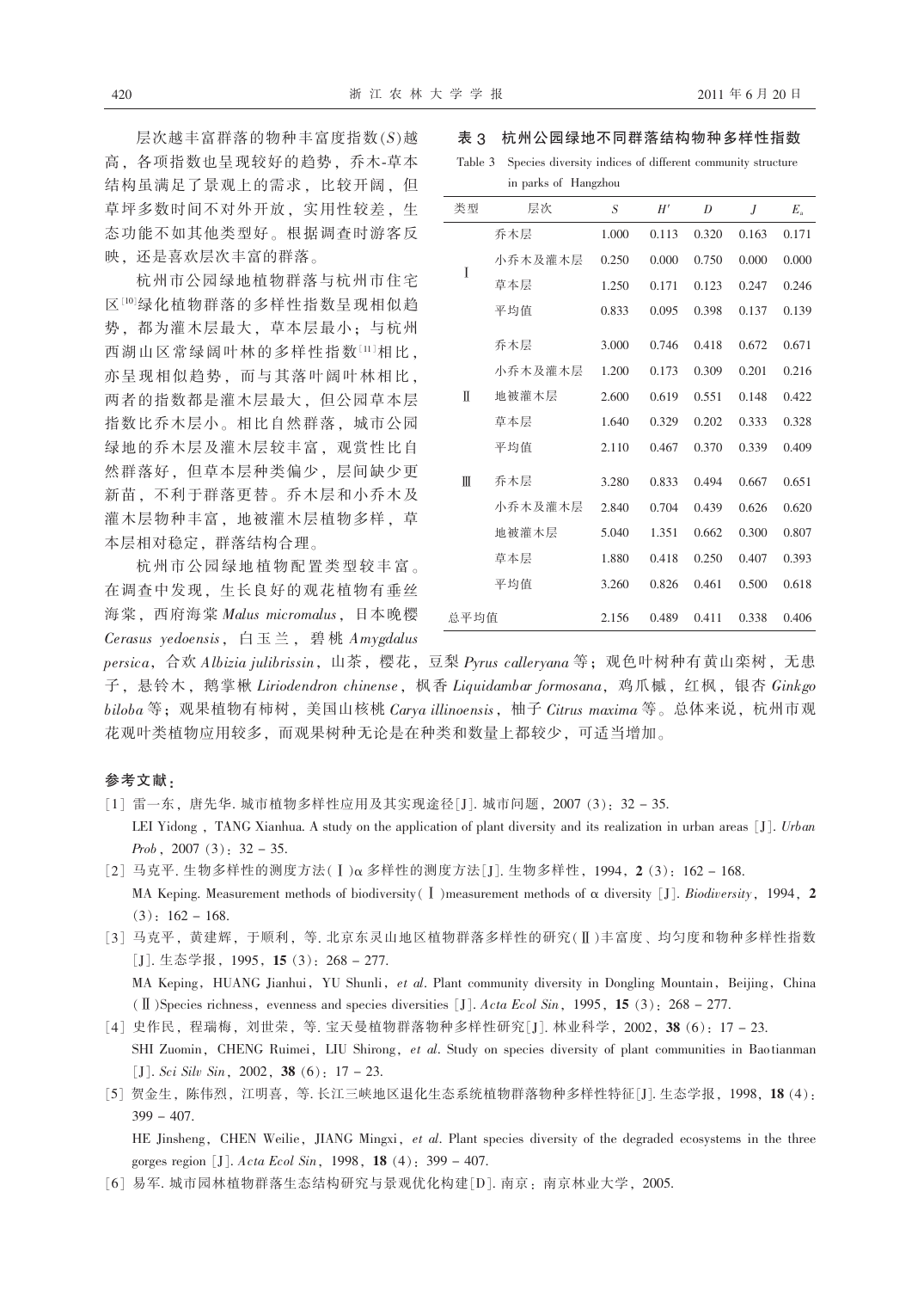层次越丰富群落的物种丰富度指数(S)越 高,各项指数也呈现较好的趋势,乔木-草本 结构虽满足了景观上的需求, 比较开阔, 但 草坪多数时间不对外开放, 实用性较差, 生 态功能不如其他类型好。根据调查时游客反 映,还是喜欢层次丰富的群落。

杭州市公园绿地植物群落与杭州市住宅 区[10]绿化植物群落的多样性指数呈现相似趋 势,都为灌木层最大,草本层最小;与杭州 西湖山区常绿阔叶林的多样性指数[11]相比, 亦呈现相似趋势,而与其落叶阔叶林相比, 两者的指数都是灌木层最大,但公园草本层 指数比乔木层小。相比自然群落, 城市公园 绿地的乔木层及灌木层较丰富,观赏性比自 然群落好,但草本层种类偏少,层间缺少更 新苗, 不利于群落更替。乔木层和小乔木及 灌木层物种丰富, 地被灌木层植物多样, 草 本层相对稳定, 群落结构合理。

杭州市公园绿地植物配置类型较丰富。 在调查中发现,生长良好的观花植物有垂丝 海棠, 西府海棠 Malus micromalus, 日本晚樱 Cerasus yedoensis, 白玉兰, 碧桃 Amygdalus

#### 表 3 杭州公园绿地不同群落结构物种多样性指数

Table 3 Species diversity indices of different community structure in parks of Hangzhou

| 类型   | 层次      | S     | H'    | D     | J     | $E_{\rm a}$ |
|------|---------|-------|-------|-------|-------|-------------|
|      | 乔木层     | 1.000 | 0.113 | 0.320 | 0.163 | 0.171       |
| I    | 小乔木及灌木层 | 0.250 | 0.000 | 0.750 | 0.000 | 0.000       |
|      | 草本层     | 1.250 | 0.171 | 0.123 | 0.247 | 0.246       |
|      | 平均值     | 0.833 | 0.095 | 0.398 | 0.137 | 0.139       |
|      | 乔木层     | 3.000 | 0.746 | 0.418 | 0.672 | 0.671       |
|      | 小乔木及灌木层 | 1.200 | 0.173 | 0.309 | 0.201 | 0.216       |
| Π    | 地被灌木层   | 2.600 | 0.619 | 0.551 | 0.148 | 0.422       |
|      | 草本层     | 1.640 | 0.329 | 0.202 | 0.333 | 0.328       |
|      | 平均值     | 2.110 | 0.467 | 0.370 | 0.339 | 0.409       |
| Ш    | 乔木层     | 3.280 | 0.833 | 0.494 | 0.667 | 0.651       |
|      | 小乔木及灌木层 | 2.840 | 0.704 | 0.439 | 0.626 | 0.620       |
|      | 地被灌木层   | 5.040 | 1.351 | 0.662 | 0.300 | 0.807       |
|      | 草本层     | 1.880 | 0.418 | 0.250 | 0.407 | 0.393       |
|      | 平均值     | 3.260 | 0.826 | 0.461 | 0.500 | 0.618       |
| 总平均值 |         | 2.156 | 0.489 | 0.411 | 0.338 | 0.406       |

persica, 合欢 Albizia julibrissin, 山茶, 樱花, 豆梨 Pyrus calleryana 等; 观色叶树种有黄山栾树, 无患 子, 悬铃木, 鹅掌楸 Liriodendron chinense, 枫香 Liquidambar formosana, 鸡爪槭, 红枫, 银杏 Ginkgo biloba 等; 观果植物有柿树, 美国山核桃 Carya illinoensis, 柚子 Citrus maxima 等。总体来说, 杭州市观 花观叶类植物应用较多, 而观果树种无论是在种类和数量上都较少, 可适当增加。

#### 参考文献:

- [1] 雷一东, 唐先华. 城市植物多样性应用及其实现途径[J]. 城市问题, 2007 (3): 32-35. LEI Yidong, TANG Xianhua. A study on the application of plant diversity and its realization in urban areas [J]. Urban *Prob*, 2007 $(3)$ ; 32 – 35.
- [2] 马克平. 生物多样性的测度方法(I)α 多样性的测度方法[J]. 生物多样性, 1994, 2(3): 162-168. MA Keping. Measurement methods of biodiversity (I) measurement methods of  $\alpha$  diversity [J]. Biodiversity, 1994, 2  $(3): 162 - 168.$
- [3] 马克平, 黄建辉, 于顺利, 等. 北京东灵山地区植物群落多样性的研究(II)丰富度、均匀度和物种多样性指数 [J]. 生态学报, 1995, 15 (3): 268 - 277. MA Keping, HUANG Jianhui, YU Shunli, et al. Plant community diversity in Dongling Mountain, Beijing, China
- (II) Species richness, evenness and species diversities [J]. Acta Ecol Sin, 1995, 15 (3): 268 277. [4] 史作民, 程瑞梅, 刘世荣, 等. 宝天曼植物群落物种多样性研究[J]. 林业科学, 2002, 38 (6): 17-23.

SHI Zuomin, CHENG Ruimei, LIU Shirong, et al. Study on species diversity of plant communities in Baotianman [J]. Sci Silv Sin, 2002, 38 (6):  $17 - 23$ .

[5] 贺金生, 陈伟烈, 江明喜, 等. 长江三峡地区退化生态系统植物群落物种多样性特征[J]. 生态学报, 1998, 18 (4):  $399 - 407$ .

HE Jinsheng, CHEN Weilie, JIANG Mingxi, et al. Plant species diversity of the degraded ecosystems in the three gorges region [J]. Acta Ecol Sin, 1998, 18 (4): 399 - 407.

[6] 易军. 城市园林植物群落生态结构研究与景观优化构建[D]. 南京: 南京林业大学, 2005.